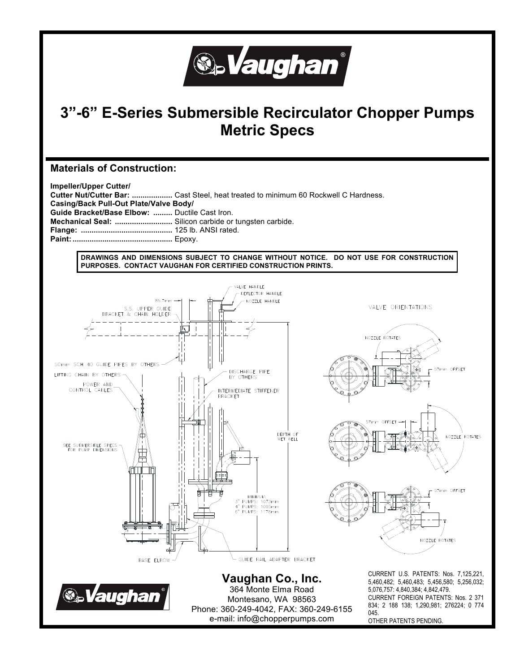

# **3"-6" E-Series Submersible Recirculator Chopper Pumps Metric Specs**

### **Materials of Construction:**

**Impeller/Upper Cutter/ Cutter Nut/Cutter Bar: ...................** Cast Steel, heat treated to minimum 60 Rockwell C Hardness. **Casing/Back Pull-Out Plate/Valve Body/ Guide Bracket/Base Elbow: .........** Ductile Cast Iron. **Mechanical Seal: ...........................** Silicon carbide or tungsten carbide. **Flange: ...........................................** 125 lb. ANSI rated. **Paint: ...............................................** Epoxy.

**DRAWINGS AND DIMENSIONS SUBJECT TO CHANGE WITHOUT NOTICE. DO NOT USE FOR CONSTRUCTION PURPOSES. CONTACT VAUGHAN FOR CERTIFIED CONSTRUCTION PRINTS.**

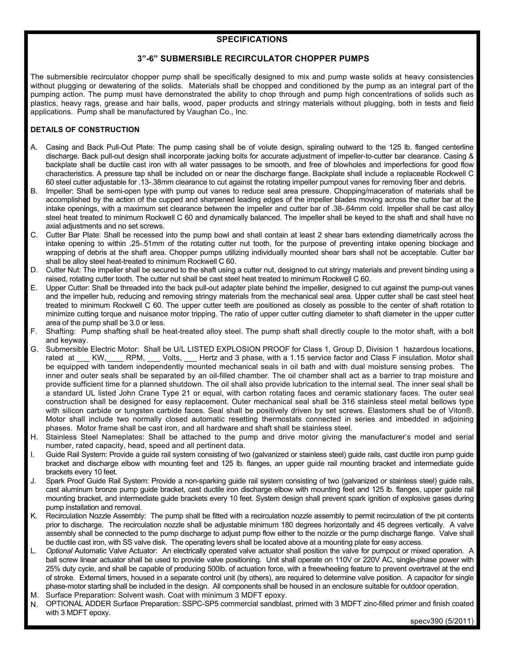#### **SPECIFICATIONS**

#### **3"-6" SUBMERSIBLE RECIRCULATOR CHOPPER PUMPS**

The submersible recirculator chopper pump shall be specifically designed to mix and pump waste solids at heavy consistencies without plugging or dewatering of the solids. Materials shall be chopped and conditioned by the pump as an integral part of the pumping action. The pump must have demonstrated the ability to chop through and pump high concentrations of solids such as plastics, heavy rags, grease and hair balls, wood, paper products and stringy materials without plugging, both in tests and field applications. Pump shall be manufactured by Vaughan Co., Inc.

#### **DETAILS OF CONSTRUCTION**

- A. Casing and Back Pull-Out Plate: The pump casing shall be of volute design, spiraling outward to the 125 lb. flanged centerline discharge. Back pull-out design shall incorporate jacking bolts for accurate adjustment of impeller-to-cutter bar clearance. Casing & backplate shall be ductile cast iron with all water passages to be smooth, and free of blowholes and imperfections for good flow characteristics. A pressure tap shall be included on or near the discharge flange. Backplate shall include a replaceable Rockwell C 60 steel cutter adjustable for .13-.38mm clearance to cut against the rotating impeller pumpout vanes for removing fiber and debris.
- B. Impeller: Shall be semi-open type with pump out vanes to reduce seal area pressure. Chopping/maceration of materials shall be accomplished by the action of the cupped and sharpened leading edges of the impeller blades moving across the cutter bar at the intake openings, with a maximum set clearance between the impeller and cutter bar of .38-.64mm cold. Impeller shall be cast alloy steel heat treated to minimum Rockwell C 60 and dynamically balanced. The impeller shall be keyed to the shaft and shall have no axial adjustments and no set screws.
- C. Cutter Bar Plate: Shall be recessed into the pump bowl and shall contain at least 2 shear bars extending diametrically across the intake opening to within .25-.51mm of the rotating cutter nut tooth, for the purpose of preventing intake opening blockage and wrapping of debris at the shaft area. Chopper pumps utilizing individually mounted shear bars shall not be acceptable. Cutter bar shall be alloy steel heat-treated to minimum Rockwell C 60.
- D. Cutter Nut: The impeller shall be secured to the shaft using a cutter nut, designed to cut stringy materials and prevent binding using a raised, rotating cutter tooth. The cutter nut shall be cast steel heat treated to minimum Rockwell C 60.
- E. Upper Cutter: Shall be threaded into the back pull-out adapter plate behind the impeller, designed to cut against the pump-out vanes and the impeller hub, reducing and removing stringy materials from the mechanical seal area. Upper cutter shall be cast steel heat treated to minimum Rockwell C 60. The upper cutter teeth are positioned as closely as possible to the center of shaft rotation to minimize cutting torque and nuisance motor tripping. The ratio of upper cutter cutting diameter to shaft diameter in the upper cutter area of the pump shall be 3.0 or less.
- Shafting: Pump shafting shall be heat-treated alloy steel. The pump shaft shall directly couple to the motor shaft, with a bolt and keyway.
- G. Submersible Electric Motor: Shall be U/L LISTED EXPLOSION PROOF for Class 1, Group D, Division 1 hazardous locations, rated at KW, RPM, Volts, Hertz and 3 phase, with a 1.15 service factor and Class F insulation. Motor shall be equipped with tandem independently mounted mechanical seals in oil bath and with dual moisture sensing probes. The inner and outer seals shall be separated by an oil-filled chamber. The oil chamber shall act as a barrier to trap moisture and provide sufficient time for a planned shutdown. The oil shall also provide lubrication to the internal seal. The inner seal shall be a standard UL listed John Crane Type 21 or equal, with carbon rotating faces and ceramic stationary faces. The outer seal construction shall be designed for easy replacement. Outer mechanical seal shall be 316 stainless steel metal bellows type with silicon carbide or tungsten carbide faces. Seal shall be positively driven by set screws. Elastomers shall be of Viton®. Motor shall include two normally closed automatic resetting thermostats connected in series and imbedded in adjoining phases. Motor frame shall be cast iron, and all hardware and shaft shall be stainless steel.
- H. Stainless Steel Nameplates: Shall be attached to the pump and drive motor giving the manufacturer's model and serial number, rated capacity, head, speed and all pertinent data.
- Guide Rail System: Provide a quide rail system consisting of two (galvanized or stainless steel) quide rails, cast ductile iron pump quide bracket and discharge elbow with mounting feet and 125 lb. flanges, an upper guide rail mounting bracket and intermediate guide brackets every 10 feet.
- J. Spark Proof Guide Rail System: Provide a non-sparking guide rail system consisting of two (galvanized or stainless steel) guide rails, cast aluminum bronze pump guide bracket, cast ductile iron discharge elbow with mounting feet and 125 lb. flanges, upper guide rail mounting bracket, and intermediate guide brackets every 10 feet. System design shall prevent spark ignition of explosive gases during pump installation and removal.
- K. Recirculation Nozzle Assembly: The pump shall be fitted with a recirculation nozzle assembly to permit recirculation of the pit contents prior to discharge. The recirculation nozzle shall be adjustable minimum 180 degrees horizontally and 45 degrees vertically. A valve assembly shall be connected to the pump discharge to adjust pump flow either to the nozzle or the pump discharge flange. Valve shall be ductile cast iron, with SS valve disk. The operating levers shall be located above at a mounting plate for easy access.
- L. *Optional* Automatic Valve Actuator: An electrically operated valve actuator shall position the valve for pumpout or mixed operation. A ball screw linear actuator shall be used to provide valve positioning. Unit shall operate on 110V or 220V AC, single-phase power with 25% duty cycle, and shall be capable of producing 500lb. of actuation force, with a freewheeling feature to prevent overtravel at the end of stroke. External timers, housed in a separate control unit (by others), are required to determine valve position. A capacitor for single phase-motor starting shall be included in the design. All components shall be housed in an enclosure suitable for outdoor operation.
- M. Surface Preparation: Solvent wash. Coat with minimum 3 MDFT epoxy.
- N. OPTIONAL ADDER Surface Preparation: SSPC-SP5 commercial sandblast, primed with 3 MDFT zinc-filled primer and finish coated with 3 MDFT epoxy.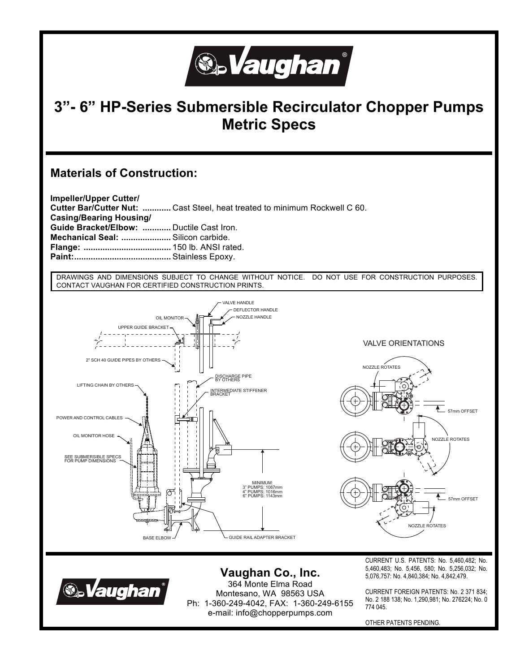

## **3"- 6" HP-Series Submersible Recirculator Chopper Pumps Metric Specs**

### **Materials of Construction:**

**Impeller/Upper Cutter/ Cutter Bar/Cutter Nut: ............** Cast Steel, heat treated to minimum Rockwell C 60. **Casing/Bearing Housing/ Guide Bracket/Elbow: ............** Ductile Cast Iron. **Mechanical Seal: .....................** Silicon carbide. **Flange: .....................................** 150 lb. ANSI rated. **Paint: .........................................** Stainless Epoxy.

DRAWINGS AND DIMENSIONS SUBJECT TO CHANGE WITHOUT NOTICE. DO NOT USE FOR CONSTRUCTION PURPOSES. CONTACT VAUGHAN FOR CERTIFIED CONSTRUCTION PRINTS.





**Vaughan Co., Inc.**  364 Monte Elma Road Montesano, WA 98563 USA Ph: 1-360-249-4042, FAX: 1-360-249-6155 e-mail: info@chopperpumps.com

CURRENT U.S. PATENTS: No. 5,460,482; No. 5,460,483; No. 5,456, 580; No. 5,256,032; No. 5,076,757: No. 4,840,384; No. 4,842,479.

CURRENT FOREIGN PATENTS: No. 2 371 834; No. 2 188 138; No. 1,290,981; No. 276224; No. 0 774 045.

OTHER PATENTS PENDING.